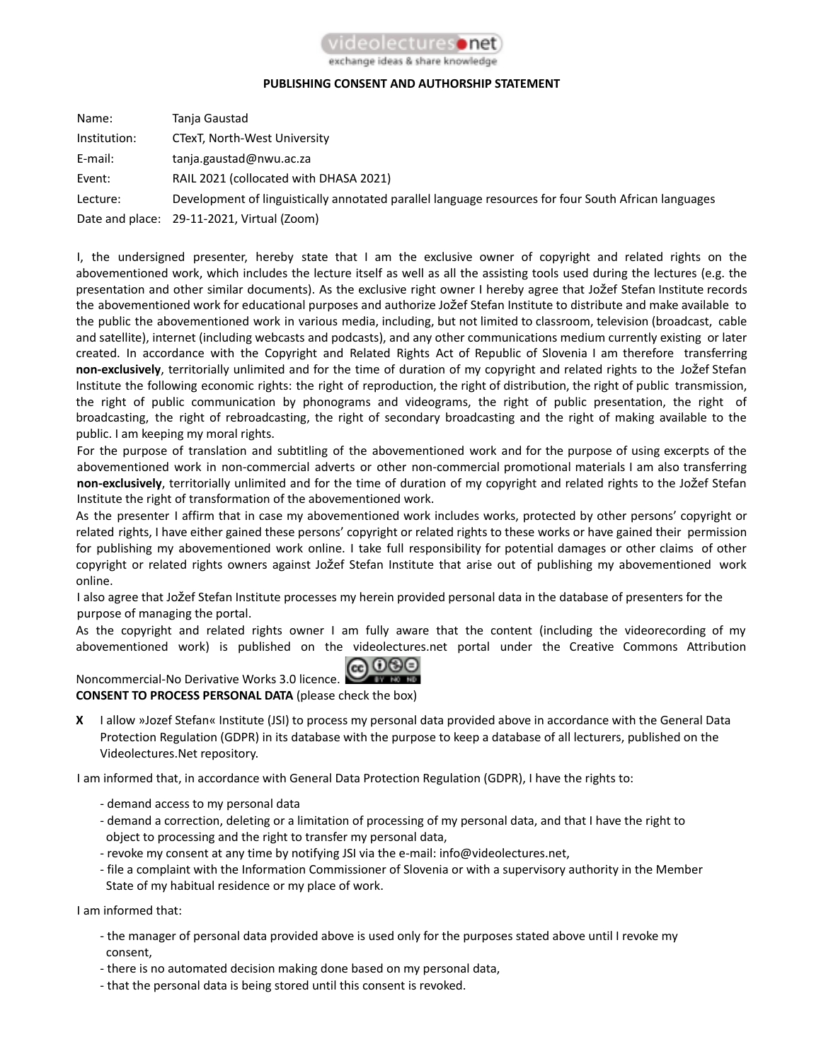

## exchange ideas & share knowledge

## **PUBLISHING CONSENT AND AUTHORSHIP STATEMENT**

| Name:        | Tanja Gaustad                                                                                        |
|--------------|------------------------------------------------------------------------------------------------------|
| Institution: | CTexT, North-West University                                                                         |
| E-mail:      | tanja.gaustad@nwu.ac.za                                                                              |
| Event:       | RAIL 2021 (collocated with DHASA 2021)                                                               |
| Lecture:     | Development of linguistically annotated parallel language resources for four South African languages |
|              | Date and place: 29-11-2021, Virtual (Zoom)                                                           |

I, the undersigned presenter, hereby state that I am the exclusive owner of copyright and related rights on the abovementioned work, which includes the lecture itself as well as all the assisting tools used during the lectures (e.g. the presentation and other similar documents). As the exclusive right owner I hereby agree that Jožef Stefan Institute records the abovementioned work for educational purposes and authorize Jožef Stefan Institute to distribute and make available to the public the abovementioned work in various media, including, but not limited to classroom, television (broadcast, cable and satellite), internet (including webcasts and podcasts), and any other communications medium currently existing or later created. In accordance with the Copyright and Related Rights Act of Republic of Slovenia I am therefore transferring **non-exclusively**, territorially unlimited and for the time of duration of my copyright and related rights to the Jožef Stefan Institute the following economic rights: the right of reproduction, the right of distribution, the right of public transmission, the right of public communication by phonograms and videograms, the right of public presentation, the right of broadcasting, the right of rebroadcasting, the right of secondary broadcasting and the right of making available to the public. I am keeping my moral rights.

For the purpose of translation and subtitling of the abovementioned work and for the purpose of using excerpts of the abovementioned work in non-commercial adverts or other non-commercial promotional materials I am also transferring **non-exclusively**, territorially unlimited and for the time of duration of my copyright and related rights to the Jožef Stefan Institute the right of transformation of the abovementioned work.

As the presenter I affirm that in case my abovementioned work includes works, protected by other persons' copyright or related rights, I have either gained these persons' copyright or related rights to these works or have gained their permission for publishing my abovementioned work online. I take full responsibility for potential damages or other claims of other copyright or related rights owners against Jožef Stefan Institute that arise out of publishing my abovementioned work online.

I also agree that Jožef Stefan Institute processes my herein provided personal data in the database of presenters for the purpose of managing the portal.

As the copyright and related rights owner I am fully aware that the content (including the videorecording of my abovementioned work) is published on the videolectures.net portal under the Creative Commons Attribution

## @ 0®© Noncommercial-No Derivative Works 3.0 licence.

**CONSENT TO PROCESS PERSONAL DATA** (please check the box)

**X** I allow »Jozef Stefan« Institute (JSI) to process my personal data provided above in accordance with the General Data Protection Regulation (GDPR) in its database with the purpose to keep a database of all lecturers, published on the Videolectures.Net repository.

I am informed that, in accordance with General Data Protection Regulation (GDPR), I have the rights to:

- demand access to my personal data
- demand a correction, deleting or a limitation of processing of my personal data, and that I have the right to object to processing and the right to transfer my personal data,
- revoke my consent at any time by notifying JSI via the e-mail: info@videolectures.net,
- file a complaint with the Information Commissioner of Slovenia or with a supervisory authority in the Member State of my habitual residence or my place of work.

I am informed that:

- the manager of personal data provided above is used only for the purposes stated above until I revoke my consent,
- there is no automated decision making done based on my personal data,
- that the personal data is being stored until this consent is revoked.